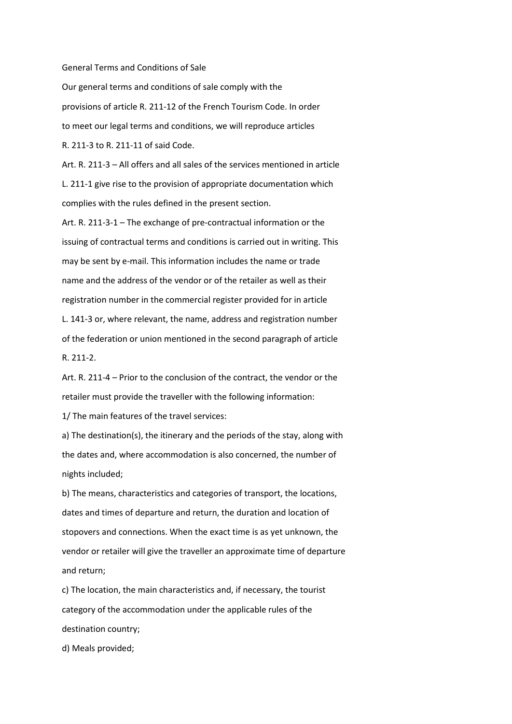General Terms and Conditions of Sale

Our general terms and conditions of sale comply with the provisions of article R. 211-12 of the French Tourism Code. In order to meet our legal terms and conditions, we will reproduce articles R. 211-3 to R. 211-11 of said Code.

Art. R. 211-3 – All offers and all sales of the services mentioned in article L. 211-1 give rise to the provision of appropriate documentation which complies with the rules defined in the present section.

Art. R. 211-3-1 – The exchange of pre-contractual information or the issuing of contractual terms and conditions is carried out in writing. This may be sent by e-mail. This information includes the name or trade name and the address of the vendor or of the retailer as well as their registration number in the commercial register provided for in article L. 141-3 or, where relevant, the name, address and registration number of the federation or union mentioned in the second paragraph of article R. 211-2.

Art. R. 211-4 – Prior to the conclusion of the contract, the vendor or the retailer must provide the traveller with the following information:

1/ The main features of the travel services:

a) The destination(s), the itinerary and the periods of the stay, along with the dates and, where accommodation is also concerned, the number of nights included;

b) The means, characteristics and categories of transport, the locations, dates and times of departure and return, the duration and location of stopovers and connections. When the exact time is as yet unknown, the vendor or retailer will give the traveller an approximate time of departure and return;

c) The location, the main characteristics and, if necessary, the tourist category of the accommodation under the applicable rules of the destination country;

d) Meals provided;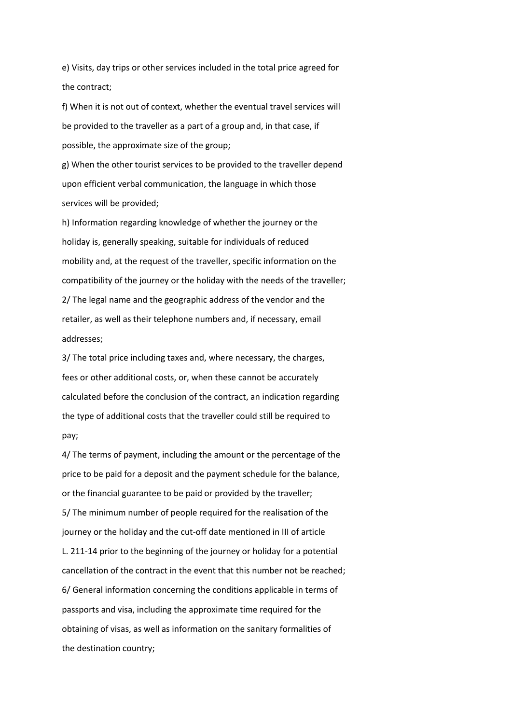e) Visits, day trips or other services included in the total price agreed for the contract;

f) When it is not out of context, whether the eventual travel services will be provided to the traveller as a part of a group and, in that case, if possible, the approximate size of the group;

g) When the other tourist services to be provided to the traveller depend upon efficient verbal communication, the language in which those services will be provided;

h) Information regarding knowledge of whether the journey or the holiday is, generally speaking, suitable for individuals of reduced mobility and, at the request of the traveller, specific information on the compatibility of the journey or the holiday with the needs of the traveller; 2/ The legal name and the geographic address of the vendor and the retailer, as well as their telephone numbers and, if necessary, email addresses;

3/ The total price including taxes and, where necessary, the charges, fees or other additional costs, or, when these cannot be accurately calculated before the conclusion of the contract, an indication regarding the type of additional costs that the traveller could still be required to pay;

4/ The terms of payment, including the amount or the percentage of the price to be paid for a deposit and the payment schedule for the balance, or the financial guarantee to be paid or provided by the traveller; 5/ The minimum number of people required for the realisation of the journey or the holiday and the cut-off date mentioned in III of article L. 211-14 prior to the beginning of the journey or holiday for a potential cancellation of the contract in the event that this number not be reached; 6/ General information concerning the conditions applicable in terms of passports and visa, including the approximate time required for the obtaining of visas, as well as information on the sanitary formalities of the destination country;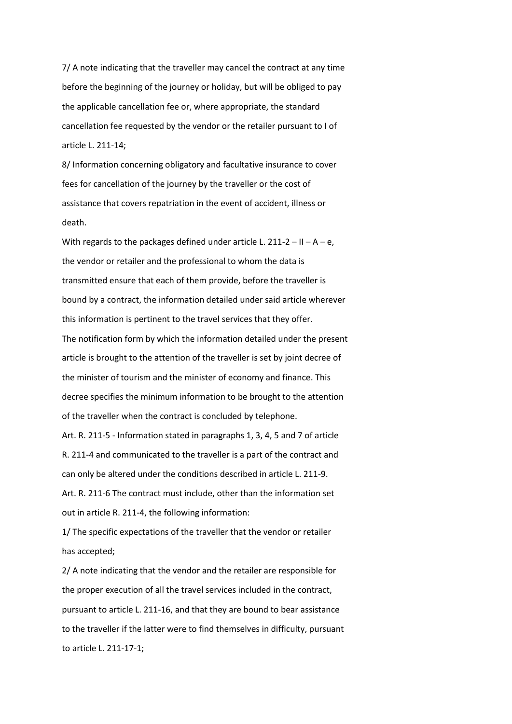7/ A note indicating that the traveller may cancel the contract at any time before the beginning of the journey or holiday, but will be obliged to pay the applicable cancellation fee or, where appropriate, the standard cancellation fee requested by the vendor or the retailer pursuant to I of article L. 211-14;

8/ Information concerning obligatory and facultative insurance to cover fees for cancellation of the journey by the traveller or the cost of assistance that covers repatriation in the event of accident, illness or death.

With regards to the packages defined under article L. 211-2 – II – A – e, the vendor or retailer and the professional to whom the data is transmitted ensure that each of them provide, before the traveller is bound by a contract, the information detailed under said article wherever this information is pertinent to the travel services that they offer. The notification form by which the information detailed under the present article is brought to the attention of the traveller is set by joint decree of the minister of tourism and the minister of economy and finance. This decree specifies the minimum information to be brought to the attention of the traveller when the contract is concluded by telephone.

Art. R. 211-5 - Information stated in paragraphs 1, 3, 4, 5 and 7 of article R. 211-4 and communicated to the traveller is a part of the contract and can only be altered under the conditions described in article L. 211-9. Art. R. 211-6 The contract must include, other than the information set

out in article R. 211-4, the following information:

1/ The specific expectations of the traveller that the vendor or retailer has accepted;

2/ A note indicating that the vendor and the retailer are responsible for the proper execution of all the travel services included in the contract, pursuant to article L. 211-16, and that they are bound to bear assistance to the traveller if the latter were to find themselves in difficulty, pursuant to article L. 211-17-1;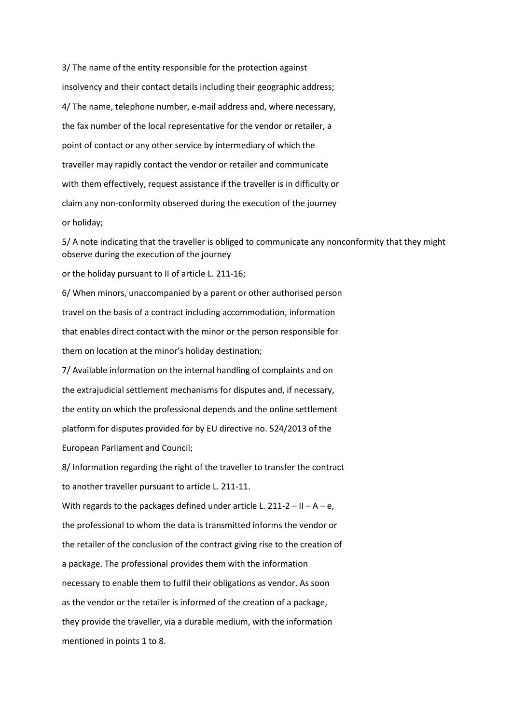3/ The name of the entity responsible for the protection against insolvency and their contact details including their geographic address; 4/ The name, telephone number, e-mail address and, where necessary, the fax number of the local representative for the vendor or retailer, a point of contact or any other service by intermediary of which the traveller may rapidly contact the vendor or retailer and communicate with them effectively, request assistance if the traveller is in difficulty or claim any non-conformity observed during the execution of the journey or holiday;

5/ A note indicating that the traveller is obliged to communicate any nonconformity that they might observe during the execution of the journey

or the holiday pursuant to II of article L. 211-16;

6/ When minors, unaccompanied by a parent or other authorised person travel on the basis of a contract including accommodation, information that enables direct contact with the minor or the person responsible for them on location at the minor's holiday destination;

7/ Available information on the internal handling of complaints and on the extrajudicial settlement mechanisms for disputes and, if necessary, the entity on which the professional depends and the online settlement platform for disputes provided for by EU directive no. 524/2013 of the European Parliament and Council;

8/ Information regarding the right of the traveller to transfer the contract to another traveller pursuant to article L. 211-11.

With regards to the packages defined under article L. 211-2 – II – A – e, the professional to whom the data is transmitted informs the vendor or the retailer of the conclusion of the contract giving rise to the creation of a package. The professional provides them with the information necessary to enable them to fulfil their obligations as vendor. As soon as the vendor or the retailer is informed of the creation of a package, they provide the traveller, via a durable medium, with the information mentioned in points 1 to 8.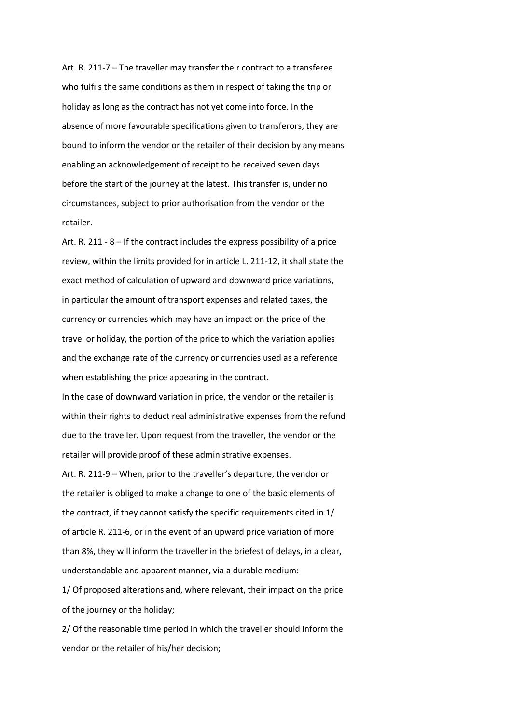Art. R. 211-7 – The traveller may transfer their contract to a transferee who fulfils the same conditions as them in respect of taking the trip or holiday as long as the contract has not yet come into force. In the absence of more favourable specifications given to transferors, they are bound to inform the vendor or the retailer of their decision by any means enabling an acknowledgement of receipt to be received seven days before the start of the journey at the latest. This transfer is, under no circumstances, subject to prior authorisation from the vendor or the retailer.

Art. R. 211 - 8 – If the contract includes the express possibility of a price review, within the limits provided for in article L. 211-12, it shall state the exact method of calculation of upward and downward price variations, in particular the amount of transport expenses and related taxes, the currency or currencies which may have an impact on the price of the travel or holiday, the portion of the price to which the variation applies and the exchange rate of the currency or currencies used as a reference when establishing the price appearing in the contract.

In the case of downward variation in price, the vendor or the retailer is within their rights to deduct real administrative expenses from the refund due to the traveller. Upon request from the traveller, the vendor or the retailer will provide proof of these administrative expenses.

Art. R. 211-9 – When, prior to the traveller's departure, the vendor or the retailer is obliged to make a change to one of the basic elements of the contract, if they cannot satisfy the specific requirements cited in 1/ of article R. 211-6, or in the event of an upward price variation of more than 8%, they will inform the traveller in the briefest of delays, in a clear, understandable and apparent manner, via a durable medium:

1/ Of proposed alterations and, where relevant, their impact on the price of the journey or the holiday;

2/ Of the reasonable time period in which the traveller should inform the vendor or the retailer of his/her decision;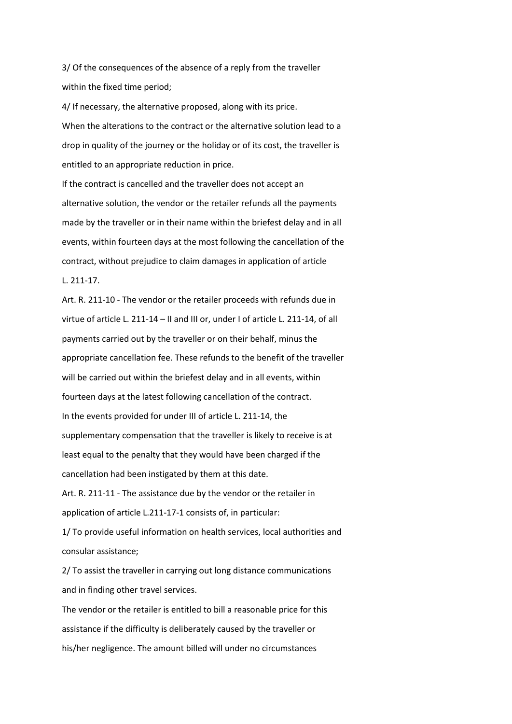3/ Of the consequences of the absence of a reply from the traveller within the fixed time period;

4/ If necessary, the alternative proposed, along with its price. When the alterations to the contract or the alternative solution lead to a drop in quality of the journey or the holiday or of its cost, the traveller is entitled to an appropriate reduction in price.

If the contract is cancelled and the traveller does not accept an alternative solution, the vendor or the retailer refunds all the payments made by the traveller or in their name within the briefest delay and in all events, within fourteen days at the most following the cancellation of the contract, without prejudice to claim damages in application of article L. 211-17.

Art. R. 211-10 - The vendor or the retailer proceeds with refunds due in virtue of article L. 211-14 – II and III or, under I of article L. 211-14, of all payments carried out by the traveller or on their behalf, minus the appropriate cancellation fee. These refunds to the benefit of the traveller will be carried out within the briefest delay and in all events, within fourteen days at the latest following cancellation of the contract. In the events provided for under III of article L. 211-14, the supplementary compensation that the traveller is likely to receive is at least equal to the penalty that they would have been charged if the cancellation had been instigated by them at this date.

Art. R. 211-11 - The assistance due by the vendor or the retailer in application of article L.211-17-1 consists of, in particular:

1/ To provide useful information on health services, local authorities and consular assistance;

2/ To assist the traveller in carrying out long distance communications and in finding other travel services.

The vendor or the retailer is entitled to bill a reasonable price for this assistance if the difficulty is deliberately caused by the traveller or his/her negligence. The amount billed will under no circumstances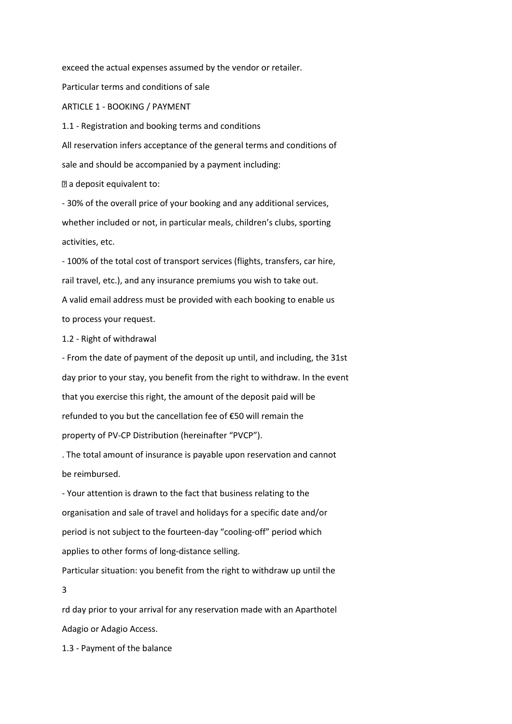exceed the actual expenses assumed by the vendor or retailer. Particular terms and conditions of sale ARTICLE 1 - BOOKING / PAYMENT 1.1 - Registration and booking terms and conditions All reservation infers acceptance of the general terms and conditions of sale and should be accompanied by a payment including:

a deposit equivalent to:

- 30% of the overall price of your booking and any additional services, whether included or not, in particular meals, children's clubs, sporting activities, etc.

- 100% of the total cost of transport services (flights, transfers, car hire, rail travel, etc.), and any insurance premiums you wish to take out. A valid email address must be provided with each booking to enable us to process your request.

1.2 - Right of withdrawal

- From the date of payment of the deposit up until, and including, the 31st day prior to your stay, you benefit from the right to withdraw. In the event that you exercise this right, the amount of the deposit paid will be refunded to you but the cancellation fee of €50 will remain the property of PV-CP Distribution (hereinafter "PVCP").

. The total amount of insurance is payable upon reservation and cannot be reimbursed.

- Your attention is drawn to the fact that business relating to the organisation and sale of travel and holidays for a specific date and/or period is not subject to the fourteen-day "cooling-off" period which applies to other forms of long-distance selling.

Particular situation: you benefit from the right to withdraw up until the 3

rd day prior to your arrival for any reservation made with an Aparthotel Adagio or Adagio Access.

1.3 - Payment of the balance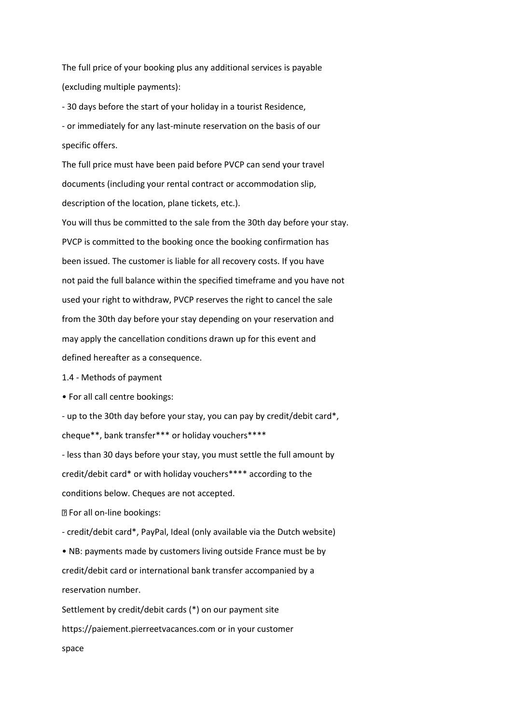The full price of your booking plus any additional services is payable (excluding multiple payments):

- 30 days before the start of your holiday in a tourist Residence, - or immediately for any last-minute reservation on the basis of our specific offers.

The full price must have been paid before PVCP can send your travel documents (including your rental contract or accommodation slip, description of the location, plane tickets, etc.).

You will thus be committed to the sale from the 30th day before your stay. PVCP is committed to the booking once the booking confirmation has been issued. The customer is liable for all recovery costs. If you have not paid the full balance within the specified timeframe and you have not used your right to withdraw, PVCP reserves the right to cancel the sale from the 30th day before your stay depending on your reservation and may apply the cancellation conditions drawn up for this event and defined hereafter as a consequence.

1.4 - Methods of payment

• For all call centre bookings:

- up to the 30th day before your stay, you can pay by credit/debit card\*, cheque\*\*, bank transfer\*\*\* or holiday vouchers\*\*\*\*

- less than 30 days before your stay, you must settle the full amount by credit/debit card\* or with holiday vouchers\*\*\*\* according to the conditions below. Cheques are not accepted. For all on-line bookings:

- credit/debit card\*, PayPal, Ideal (only available via the Dutch website)

• NB: payments made by customers living outside France must be by credit/debit card or international bank transfer accompanied by a reservation number.

Settlement by credit/debit cards (\*) on our payment site https://paiement.pierreetvacances.com or in your customer space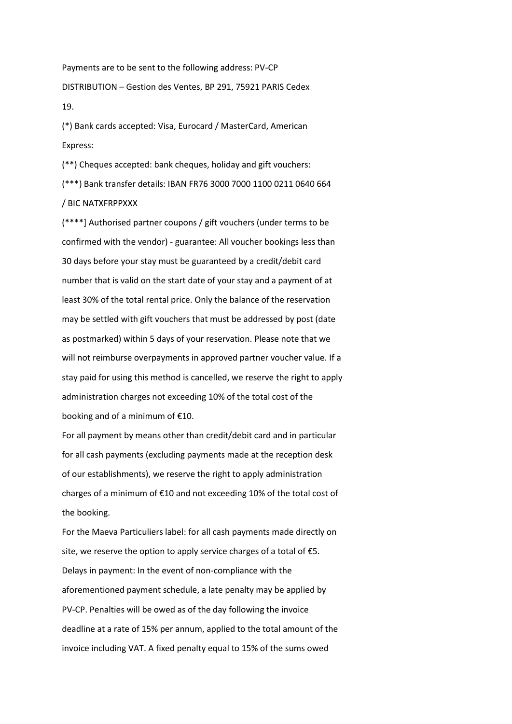Payments are to be sent to the following address: PV-CP DISTRIBUTION – Gestion des Ventes, BP 291, 75921 PARIS Cedex 19.

(\*) Bank cards accepted: Visa, Eurocard / MasterCard, American Express:

(\*\*) Cheques accepted: bank cheques, holiday and gift vouchers: (\*\*\*) Bank transfer details: IBAN FR76 3000 7000 1100 0211 0640 664 / BIC NATXFRPPXXX

(\*\*\*\*] Authorised partner coupons / gift vouchers (under terms to be confirmed with the vendor) - guarantee: All voucher bookings less than 30 days before your stay must be guaranteed by a credit/debit card number that is valid on the start date of your stay and a payment of at least 30% of the total rental price. Only the balance of the reservation may be settled with gift vouchers that must be addressed by post (date as postmarked) within 5 days of your reservation. Please note that we will not reimburse overpayments in approved partner voucher value. If a stay paid for using this method is cancelled, we reserve the right to apply administration charges not exceeding 10% of the total cost of the booking and of a minimum of €10.

For all payment by means other than credit/debit card and in particular for all cash payments (excluding payments made at the reception desk of our establishments), we reserve the right to apply administration charges of a minimum of €10 and not exceeding 10% of the total cost of the booking.

For the Maeva Particuliers label: for all cash payments made directly on site, we reserve the option to apply service charges of a total of  $E$ 5. Delays in payment: In the event of non-compliance with the aforementioned payment schedule, a late penalty may be applied by PV-CP. Penalties will be owed as of the day following the invoice deadline at a rate of 15% per annum, applied to the total amount of the invoice including VAT. A fixed penalty equal to 15% of the sums owed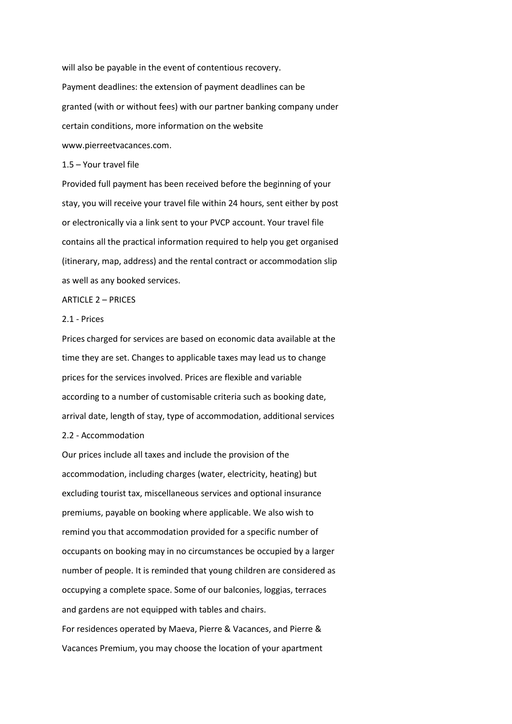will also be payable in the event of contentious recovery. Payment deadlines: the extension of payment deadlines can be granted (with or without fees) with our partner banking company under certain conditions, more information on the website www.pierreetvacances.com.

1.5 – Your travel file

Provided full payment has been received before the beginning of your stay, you will receive your travel file within 24 hours, sent either by post or electronically via a link sent to your PVCP account. Your travel file contains all the practical information required to help you get organised (itinerary, map, address) and the rental contract or accommodation slip as well as any booked services.

ARTICLE 2 – PRICES

# 2.1 - Prices

Prices charged for services are based on economic data available at the time they are set. Changes to applicable taxes may lead us to change prices for the services involved. Prices are flexible and variable according to a number of customisable criteria such as booking date, arrival date, length of stay, type of accommodation, additional services 2.2 - Accommodation

Our prices include all taxes and include the provision of the accommodation, including charges (water, electricity, heating) but excluding tourist tax, miscellaneous services and optional insurance premiums, payable on booking where applicable. We also wish to remind you that accommodation provided for a specific number of occupants on booking may in no circumstances be occupied by a larger number of people. It is reminded that young children are considered as occupying a complete space. Some of our balconies, loggias, terraces and gardens are not equipped with tables and chairs.

For residences operated by Maeva, Pierre & Vacances, and Pierre & Vacances Premium, you may choose the location of your apartment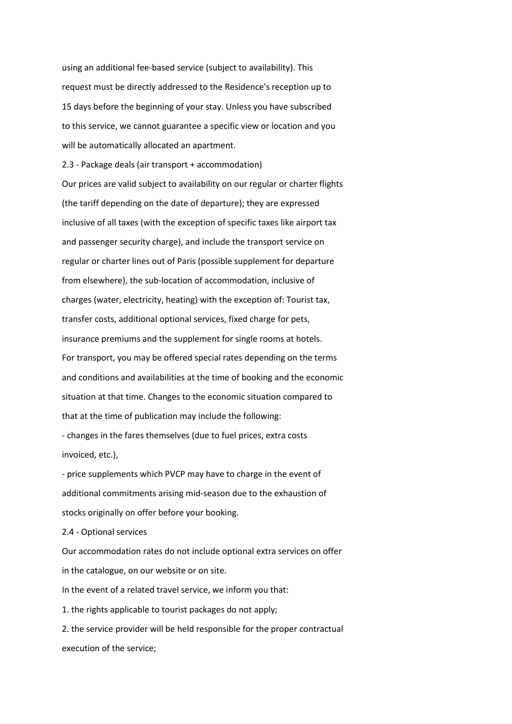using an additional fee-based service (subject to availability). This request must be directly addressed to the Residence's reception up to 15 days before the beginning of your stay. Unless you have subscribed to this service, we cannot guarantee a specific view or location and you will be automatically allocated an apartment.

2.3 - Package deals (air transport + accommodation)

Our prices are valid subject to availability on our regular or charter flights (the tariff depending on the date of departure); they are expressed inclusive of all taxes (with the exception of specific taxes like airport tax and passenger security charge), and include the transport service on regular or charter lines out of Paris (possible supplement for departure from elsewhere), the sub-location of accommodation, inclusive of charges (water, electricity, heating) with the exception of: Tourist tax, transfer costs, additional optional services, fixed charge for pets, insurance premiums and the supplement for single rooms at hotels. For transport, you may be offered special rates depending on the terms and conditions and availabilities at the time of booking and the economic situation at that time. Changes to the economic situation compared to that at the time of publication may include the following:

- changes in the fares themselves (due to fuel prices, extra costs invoiced, etc.),

- price supplements which PVCP may have to charge in the event of additional commitments arising mid-season due to the exhaustion of stocks originally on offer before your booking.

2.4 - Optional services

Our accommodation rates do not include optional extra services on offer in the catalogue, on our website or on site.

In the event of a related travel service, we inform you that:

1. the rights applicable to tourist packages do not apply;

2. the service provider will be held responsible for the proper contractual execution of the service;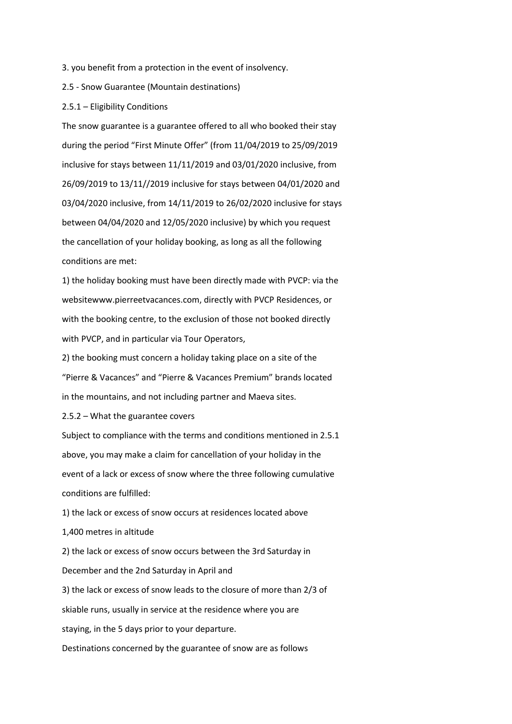3. you benefit from a protection in the event of insolvency.

2.5 - Snow Guarantee (Mountain destinations)

#### 2.5.1 – Eligibility Conditions

The snow guarantee is a guarantee offered to all who booked their stay during the period "First Minute Offer" (from 11/04/2019 to 25/09/2019 inclusive for stays between 11/11/2019 and 03/01/2020 inclusive, from 26/09/2019 to 13/11//2019 inclusive for stays between 04/01/2020 and 03/04/2020 inclusive, from 14/11/2019 to 26/02/2020 inclusive for stays between 04/04/2020 and 12/05/2020 inclusive) by which you request the cancellation of your holiday booking, as long as all the following conditions are met:

1) the holiday booking must have been directly made with PVCP: via the websitewww.pierreetvacances.com, directly with PVCP Residences, or with the booking centre, to the exclusion of those not booked directly with PVCP, and in particular via Tour Operators,

2) the booking must concern a holiday taking place on a site of the "Pierre & Vacances" and "Pierre & Vacances Premium" brands located in the mountains, and not including partner and Maeva sites.

2.5.2 – What the guarantee covers

Subject to compliance with the terms and conditions mentioned in 2.5.1 above, you may make a claim for cancellation of your holiday in the event of a lack or excess of snow where the three following cumulative conditions are fulfilled:

1) the lack or excess of snow occurs at residences located above 1,400 metres in altitude 2) the lack or excess of snow occurs between the 3rd Saturday in December and the 2nd Saturday in April and 3) the lack or excess of snow leads to the closure of more than 2/3 of skiable runs, usually in service at the residence where you are staying, in the 5 days prior to your departure. Destinations concerned by the guarantee of snow are as follows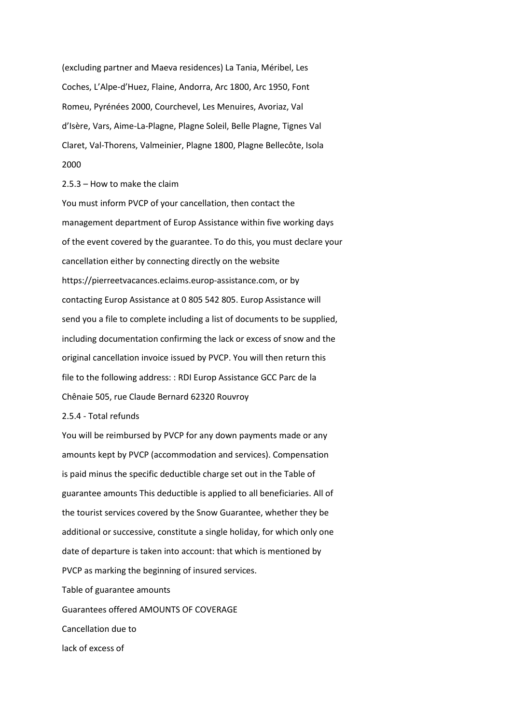(excluding partner and Maeva residences) La Tania, Méribel, Les Coches, L'Alpe-d'Huez, Flaine, Andorra, Arc 1800, Arc 1950, Font Romeu, Pyrénées 2000, Courchevel, Les Menuires, Avoriaz, Val d'Isère, Vars, Aime-La-Plagne, Plagne Soleil, Belle Plagne, Tignes Val Claret, Val-Thorens, Valmeinier, Plagne 1800, Plagne Bellecôte, Isola 2000

## 2.5.3 – How to make the claim

You must inform PVCP of your cancellation, then contact the management department of Europ Assistance within five working days of the event covered by the guarantee. To do this, you must declare your cancellation either by connecting directly on the website https://pierreetvacances.eclaims.europ-assistance.com, or by contacting Europ Assistance at 0 805 542 805. Europ Assistance will send you a file to complete including a list of documents to be supplied, including documentation confirming the lack or excess of snow and the original cancellation invoice issued by PVCP. You will then return this file to the following address: : RDI Europ Assistance GCC Parc de la Chênaie 505, rue Claude Bernard 62320 Rouvroy

#### 2.5.4 - Total refunds

You will be reimbursed by PVCP for any down payments made or any amounts kept by PVCP (accommodation and services). Compensation is paid minus the specific deductible charge set out in the Table of guarantee amounts This deductible is applied to all beneficiaries. All of the tourist services covered by the Snow Guarantee, whether they be additional or successive, constitute a single holiday, for which only one date of departure is taken into account: that which is mentioned by PVCP as marking the beginning of insured services. Table of guarantee amounts Guarantees offered AMOUNTS OF COVERAGE Cancellation due to lack of excess of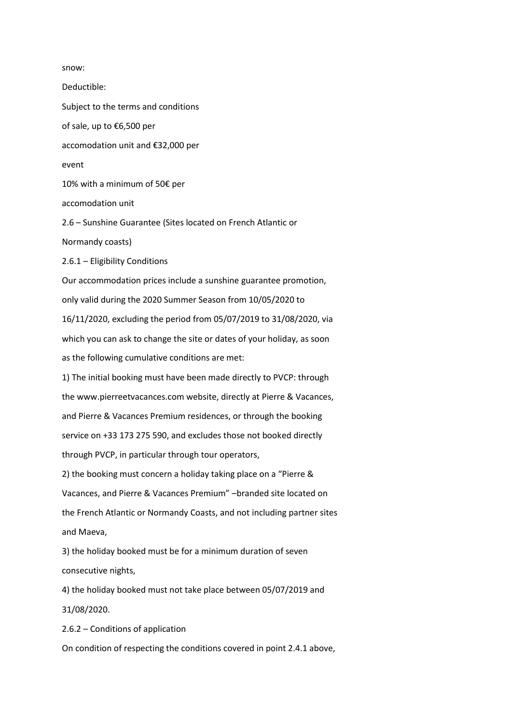snow:

Deductible: Subject to the terms and conditions of sale, up to €6,500 per accomodation unit and €32,000 per event 10% with a minimum of 50€ per accomodation unit 2.6 – Sunshine Guarantee (Sites located on French Atlantic or Normandy coasts) 2.6.1 – Eligibility Conditions Our accommodation prices include a sunshine guarantee promotion, only valid during the 2020 Summer Season from 10/05/2020 to 16/11/2020, excluding the period from 05/07/2019 to 31/08/2020, via which you can ask to change the site or dates of your holiday, as soon as the following cumulative conditions are met: 1) The initial booking must have been made directly to PVCP: through the www.pierreetvacances.com website, directly at Pierre & Vacances, and Pierre & Vacances Premium residences, or through the booking service on +33 173 275 590, and excludes those not booked directly through PVCP, in particular through tour operators, 2) the booking must concern a holiday taking place on a "Pierre & Vacances, and Pierre & Vacances Premium" –branded site located on the French Atlantic or Normandy Coasts, and not including partner sites and Maeva, 3) the holiday booked must be for a minimum duration of seven consecutive nights, 4) the holiday booked must not take place between 05/07/2019 and 31/08/2020.

2.6.2 – Conditions of application

On condition of respecting the conditions covered in point 2.4.1 above,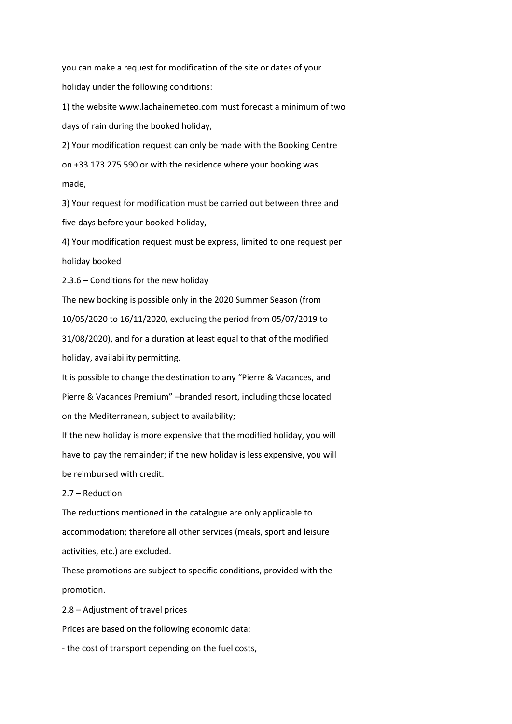you can make a request for modification of the site or dates of your holiday under the following conditions:

1) the website www.lachainemeteo.com must forecast a minimum of two days of rain during the booked holiday,

2) Your modification request can only be made with the Booking Centre on +33 173 275 590 or with the residence where your booking was made,

3) Your request for modification must be carried out between three and five days before your booked holiday,

4) Your modification request must be express, limited to one request per holiday booked

2.3.6 – Conditions for the new holiday

The new booking is possible only in the 2020 Summer Season (from 10/05/2020 to 16/11/2020, excluding the period from 05/07/2019 to 31/08/2020), and for a duration at least equal to that of the modified holiday, availability permitting.

It is possible to change the destination to any "Pierre & Vacances, and Pierre & Vacances Premium" –branded resort, including those located on the Mediterranean, subject to availability;

If the new holiday is more expensive that the modified holiday, you will have to pay the remainder; if the new holiday is less expensive, you will be reimbursed with credit.

# 2.7 – Reduction

The reductions mentioned in the catalogue are only applicable to accommodation; therefore all other services (meals, sport and leisure activities, etc.) are excluded.

These promotions are subject to specific conditions, provided with the promotion.

2.8 – Adjustment of travel prices

Prices are based on the following economic data:

- the cost of transport depending on the fuel costs,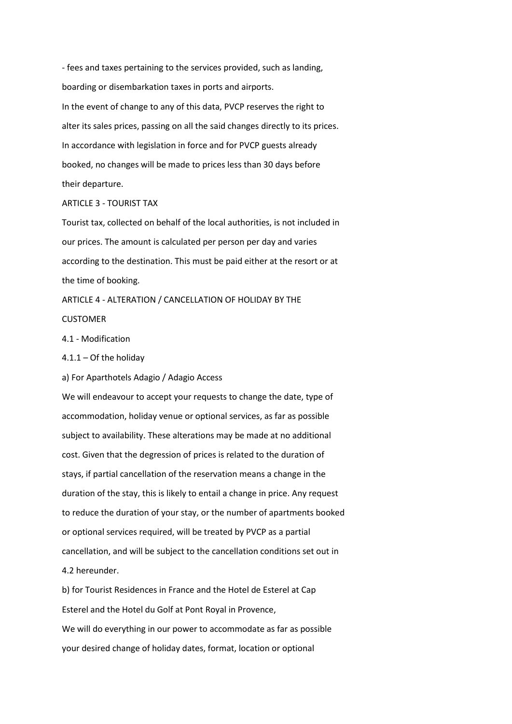- fees and taxes pertaining to the services provided, such as landing, boarding or disembarkation taxes in ports and airports. In the event of change to any of this data, PVCP reserves the right to alter its sales prices, passing on all the said changes directly to its prices. In accordance with legislation in force and for PVCP guests already booked, no changes will be made to prices less than 30 days before their departure.

### ARTICLE 3 - TOURIST TAX

Tourist tax, collected on behalf of the local authorities, is not included in our prices. The amount is calculated per person per day and varies according to the destination. This must be paid either at the resort or at the time of booking.

ARTICLE 4 - ALTERATION / CANCELLATION OF HOLIDAY BY THE **CUSTOMER** 

4.1 - Modification

 $4.1.1 -$  Of the holiday

a) For Aparthotels Adagio / Adagio Access

We will endeavour to accept your requests to change the date, type of accommodation, holiday venue or optional services, as far as possible subject to availability. These alterations may be made at no additional cost. Given that the degression of prices is related to the duration of stays, if partial cancellation of the reservation means a change in the duration of the stay, this is likely to entail a change in price. Any request to reduce the duration of your stay, or the number of apartments booked or optional services required, will be treated by PVCP as a partial cancellation, and will be subject to the cancellation conditions set out in 4.2 hereunder.

b) for Tourist Residences in France and the Hotel de Esterel at Cap Esterel and the Hotel du Golf at Pont Royal in Provence, We will do everything in our power to accommodate as far as possible your desired change of holiday dates, format, location or optional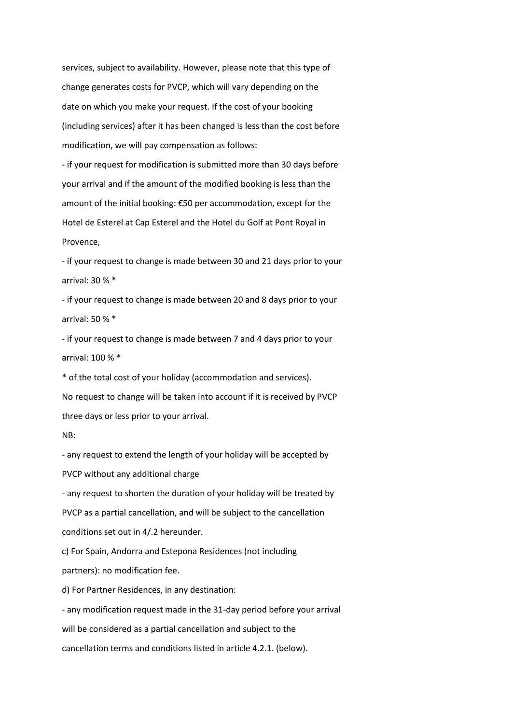services, subject to availability. However, please note that this type of change generates costs for PVCP, which will vary depending on the date on which you make your request. If the cost of your booking (including services) after it has been changed is less than the cost before modification, we will pay compensation as follows:

- if your request for modification is submitted more than 30 days before your arrival and if the amount of the modified booking is less than the amount of the initial booking: €50 per accommodation, except for the Hotel de Esterel at Cap Esterel and the Hotel du Golf at Pont Royal in Provence,

- if your request to change is made between 30 and 21 days prior to your arrival: 30 % \*

- if your request to change is made between 20 and 8 days prior to your arrival: 50 % \*

- if your request to change is made between 7 and 4 days prior to your arrival: 100 % \*

\* of the total cost of your holiday (accommodation and services). No request to change will be taken into account if it is received by PVCP three days or less prior to your arrival.

### NB:

- any request to extend the length of your holiday will be accepted by PVCP without any additional charge

- any request to shorten the duration of your holiday will be treated by PVCP as a partial cancellation, and will be subject to the cancellation conditions set out in 4/.2 hereunder.

c) For Spain, Andorra and Estepona Residences (not including partners): no modification fee.

d) For Partner Residences, in any destination:

- any modification request made in the 31-day period before your arrival will be considered as a partial cancellation and subject to the cancellation terms and conditions listed in article 4.2.1. (below).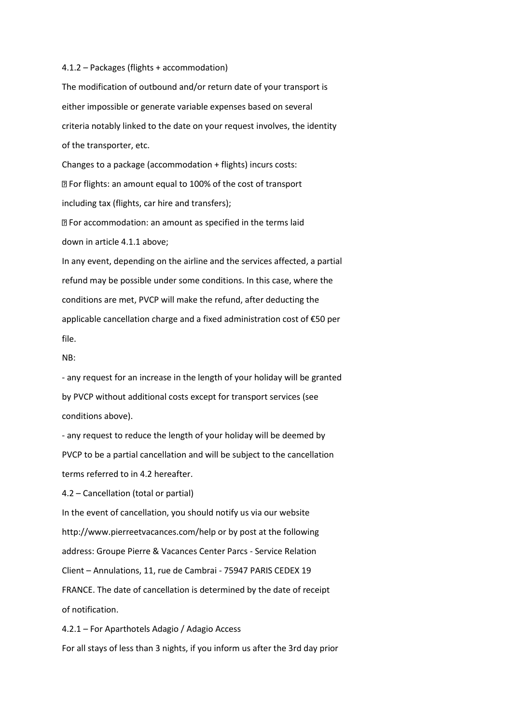#### 4.1.2 – Packages (flights + accommodation)

The modification of outbound and/or return date of your transport is either impossible or generate variable expenses based on several criteria notably linked to the date on your request involves, the identity of the transporter, etc.

Changes to a package (accommodation + flights) incurs costs: For flights: an amount equal to 100% of the cost of transport including tax (flights, car hire and transfers);

For accommodation: an amount as specified in the terms laid down in article 4.1.1 above;

In any event, depending on the airline and the services affected, a partial refund may be possible under some conditions. In this case, where the conditions are met, PVCP will make the refund, after deducting the applicable cancellation charge and a fixed administration cost of €50 per file.

#### NB:

- any request for an increase in the length of your holiday will be granted by PVCP without additional costs except for transport services (see conditions above).

- any request to reduce the length of your holiday will be deemed by PVCP to be a partial cancellation and will be subject to the cancellation terms referred to in 4.2 hereafter.

4.2 – Cancellation (total or partial)

In the event of cancellation, you should notify us via our website http://www.pierreetvacances.com/help or by post at the following address: Groupe Pierre & Vacances Center Parcs - Service Relation Client – Annulations, 11, rue de Cambrai - 75947 PARIS CEDEX 19 FRANCE. The date of cancellation is determined by the date of receipt of notification.

4.2.1 – For Aparthotels Adagio / Adagio Access For all stays of less than 3 nights, if you inform us after the 3rd day prior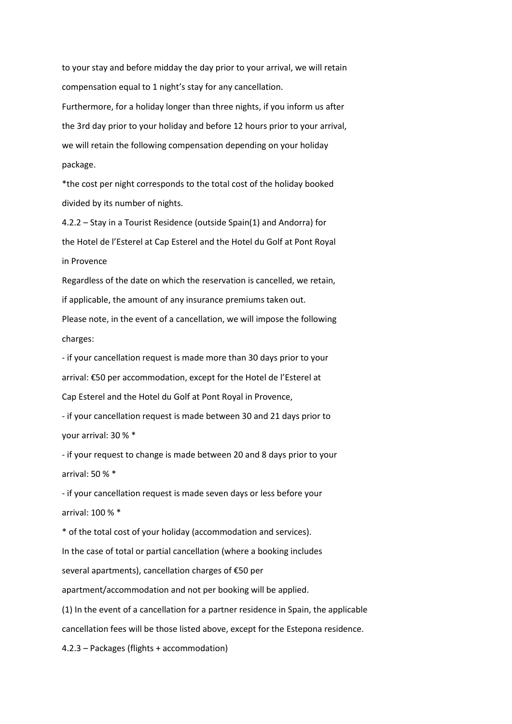to your stay and before midday the day prior to your arrival, we will retain compensation equal to 1 night's stay for any cancellation.

Furthermore, for a holiday longer than three nights, if you inform us after the 3rd day prior to your holiday and before 12 hours prior to your arrival, we will retain the following compensation depending on your holiday package.

\*the cost per night corresponds to the total cost of the holiday booked divided by its number of nights.

4.2.2 – Stay in a Tourist Residence (outside Spain(1) and Andorra) for the Hotel de l'Esterel at Cap Esterel and the Hotel du Golf at Pont Royal in Provence

Regardless of the date on which the reservation is cancelled, we retain, if applicable, the amount of any insurance premiums taken out. Please note, in the event of a cancellation, we will impose the following

charges:

- if your cancellation request is made more than 30 days prior to your arrival: €50 per accommodation, except for the Hotel de l'Esterel at Cap Esterel and the Hotel du Golf at Pont Royal in Provence,

- if your cancellation request is made between 30 and 21 days prior to your arrival: 30 % \*

- if your request to change is made between 20 and 8 days prior to your arrival: 50 % \*

- if your cancellation request is made seven days or less before your arrival: 100 % \*

\* of the total cost of your holiday (accommodation and services). In the case of total or partial cancellation (where a booking includes several apartments), cancellation charges of €50 per

apartment/accommodation and not per booking will be applied.

(1) In the event of a cancellation for a partner residence in Spain, the applicable cancellation fees will be those listed above, except for the Estepona residence.

4.2.3 – Packages (flights + accommodation)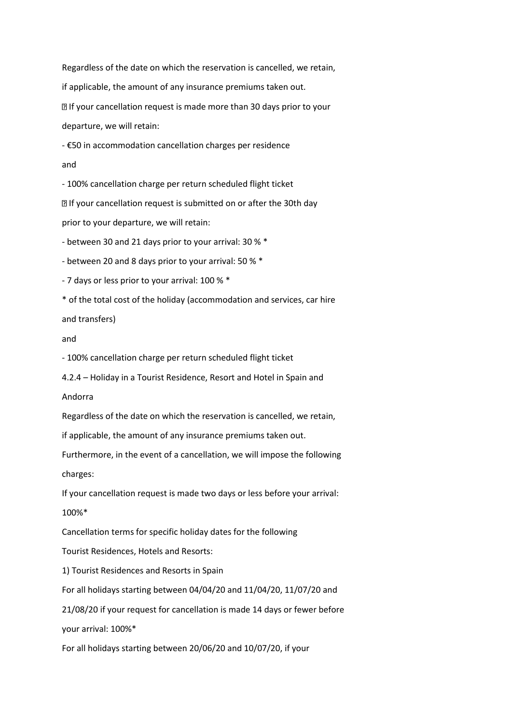Regardless of the date on which the reservation is cancelled, we retain, if applicable, the amount of any insurance premiums taken out. **If your cancellation request is made more than 30 days prior to your** departure, we will retain:

- €50 in accommodation cancellation charges per residence

and

- 100% cancellation charge per return scheduled flight ticket

**If your cancellation request is submitted on or after the 30th day** 

prior to your departure, we will retain:

- between 30 and 21 days prior to your arrival: 30 % \*

- between 20 and 8 days prior to your arrival: 50 % \*

- 7 days or less prior to your arrival: 100 % \*

\* of the total cost of the holiday (accommodation and services, car hire

and transfers)

## and

- 100% cancellation charge per return scheduled flight ticket

4.2.4 – Holiday in a Tourist Residence, Resort and Hotel in Spain and

Andorra

Regardless of the date on which the reservation is cancelled, we retain,

if applicable, the amount of any insurance premiums taken out.

Furthermore, in the event of a cancellation, we will impose the following charges:

If your cancellation request is made two days or less before your arrival:

100%\*

Cancellation terms for specific holiday dates for the following

Tourist Residences, Hotels and Resorts:

1) Tourist Residences and Resorts in Spain

For all holidays starting between 04/04/20 and 11/04/20, 11/07/20 and

21/08/20 if your request for cancellation is made 14 days or fewer before

your arrival: 100%\*

For all holidays starting between 20/06/20 and 10/07/20, if your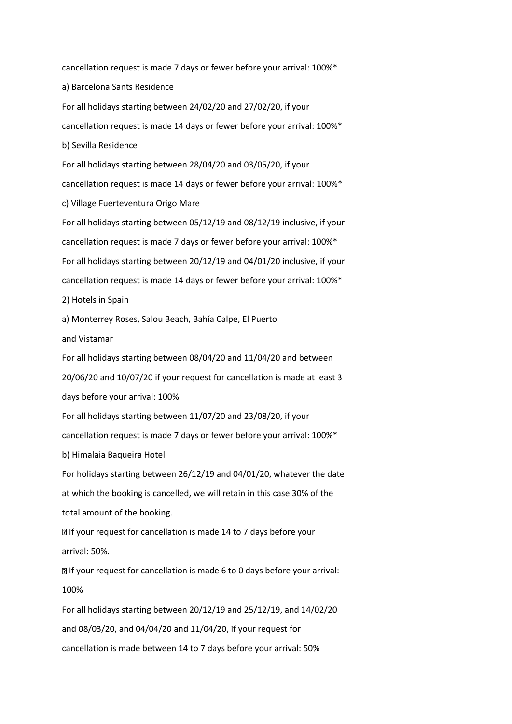cancellation request is made 7 days or fewer before your arrival: 100%\* a) Barcelona Sants Residence For all holidays starting between 24/02/20 and 27/02/20, if your cancellation request is made 14 days or fewer before your arrival: 100%\* b) Sevilla Residence For all holidays starting between 28/04/20 and 03/05/20, if your cancellation request is made 14 days or fewer before your arrival: 100%\* c) Village Fuerteventura Origo Mare For all holidays starting between 05/12/19 and 08/12/19 inclusive, if your cancellation request is made 7 days or fewer before your arrival: 100%\* For all holidays starting between 20/12/19 and 04/01/20 inclusive, if your cancellation request is made 14 days or fewer before your arrival: 100%\* 2) Hotels in Spain a) Monterrey Roses, Salou Beach, Bahía Calpe, El Puerto and Vistamar For all holidays starting between 08/04/20 and 11/04/20 and between 20/06/20 and 10/07/20 if your request for cancellation is made at least 3 days before your arrival: 100% For all holidays starting between 11/07/20 and 23/08/20, if your cancellation request is made 7 days or fewer before your arrival: 100%\* b) Himalaia Baqueira Hotel For holidays starting between 26/12/19 and 04/01/20, whatever the date at which the booking is cancelled, we will retain in this case 30% of the total amount of the booking. **If your request for cancellation is made 14 to 7 days before your** arrival: 50%. If your request for cancellation is made 6 to 0 days before your arrival: 100% For all holidays starting between 20/12/19 and 25/12/19, and 14/02/20 and 08/03/20, and 04/04/20 and 11/04/20, if your request for cancellation is made between 14 to 7 days before your arrival: 50%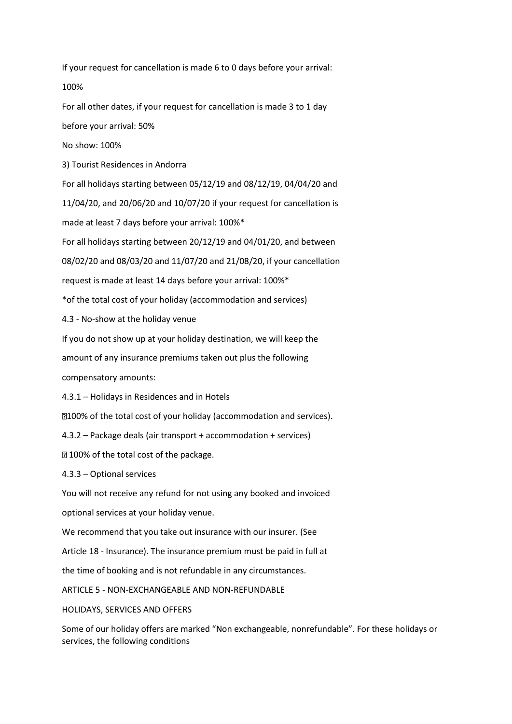If your request for cancellation is made 6 to 0 days before your arrival: 100%

For all other dates, if your request for cancellation is made 3 to 1 day before your arrival: 50%

No show: 100%

3) Tourist Residences in Andorra

For all holidays starting between 05/12/19 and 08/12/19, 04/04/20 and 11/04/20, and 20/06/20 and 10/07/20 if your request for cancellation is made at least 7 days before your arrival: 100%\*

For all holidays starting between 20/12/19 and 04/01/20, and between

08/02/20 and 08/03/20 and 11/07/20 and 21/08/20, if your cancellation

request is made at least 14 days before your arrival: 100%\*

\*of the total cost of your holiday (accommodation and services)

4.3 - No-show at the holiday venue

If you do not show up at your holiday destination, we will keep the

amount of any insurance premiums taken out plus the following

compensatory amounts:

4.3.1 – Holidays in Residences and in Hotels

100% of the total cost of your holiday (accommodation and services).

4.3.2 – Package deals (air transport + accommodation + services)

**2100% of the total cost of the package.** 

4.3.3 – Optional services

You will not receive any refund for not using any booked and invoiced

optional services at your holiday venue.

We recommend that you take out insurance with our insurer. (See

Article 18 - Insurance). The insurance premium must be paid in full at

the time of booking and is not refundable in any circumstances.

ARTICLE 5 - NON-EXCHANGEABLE AND NON-REFUNDABLE

HOLIDAYS, SERVICES AND OFFERS

Some of our holiday offers are marked "Non exchangeable, nonrefundable". For these holidays or services, the following conditions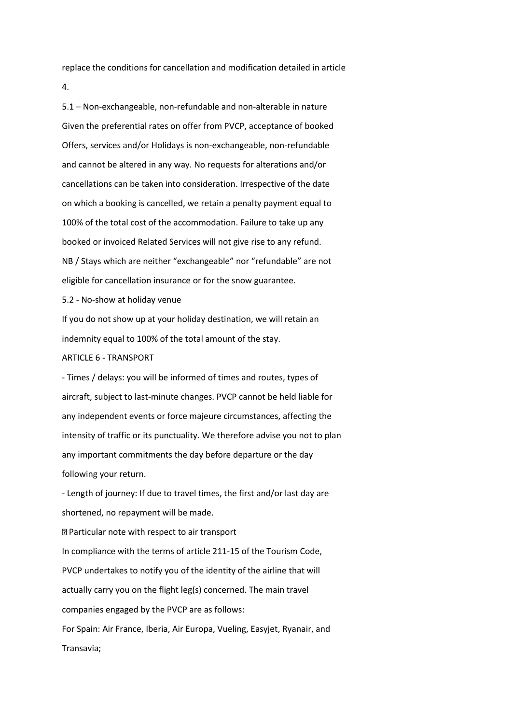replace the conditions for cancellation and modification detailed in article 4.

5.1 – Non-exchangeable, non-refundable and non-alterable in nature Given the preferential rates on offer from PVCP, acceptance of booked Offers, services and/or Holidays is non-exchangeable, non-refundable and cannot be altered in any way. No requests for alterations and/or cancellations can be taken into consideration. Irrespective of the date on which a booking is cancelled, we retain a penalty payment equal to 100% of the total cost of the accommodation. Failure to take up any booked or invoiced Related Services will not give rise to any refund. NB / Stays which are neither "exchangeable" nor "refundable" are not eligible for cancellation insurance or for the snow guarantee.

5.2 - No-show at holiday venue

If you do not show up at your holiday destination, we will retain an indemnity equal to 100% of the total amount of the stay.

### ARTICLE 6 - TRANSPORT

- Times / delays: you will be informed of times and routes, types of aircraft, subject to last-minute changes. PVCP cannot be held liable for any independent events or force majeure circumstances, affecting the intensity of traffic or its punctuality. We therefore advise you not to plan any important commitments the day before departure or the day following your return.

- Length of journey: If due to travel times, the first and/or last day are shortened, no repayment will be made.

Particular note with respect to air transport In compliance with the terms of article 211-15 of the Tourism Code, PVCP undertakes to notify you of the identity of the airline that will actually carry you on the flight leg(s) concerned. The main travel companies engaged by the PVCP are as follows: For Spain: Air France, Iberia, Air Europa, Vueling, Easyjet, Ryanair, and

Transavia;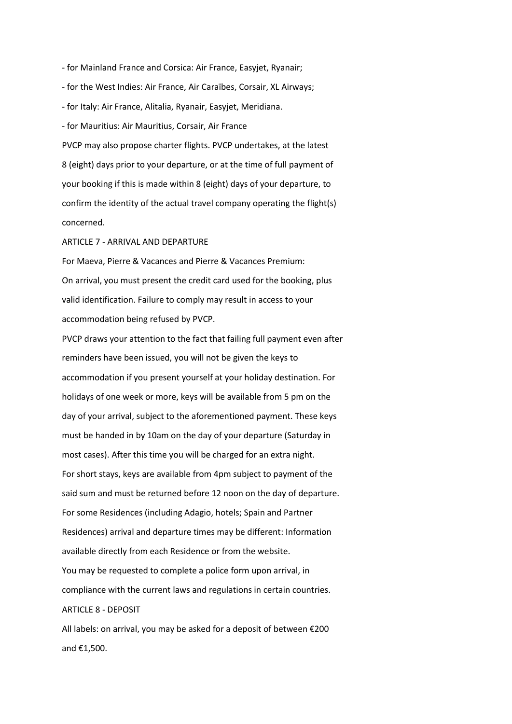- for Mainland France and Corsica: Air France, Easyjet, Ryanair; - for the West Indies: Air France, Air Caraïbes, Corsair, XL Airways; - for Italy: Air France, Alitalia, Ryanair, Easyjet, Meridiana. - for Mauritius: Air Mauritius, Corsair, Air France PVCP may also propose charter flights. PVCP undertakes, at the latest 8 (eight) days prior to your departure, or at the time of full payment of your booking if this is made within 8 (eight) days of your departure, to confirm the identity of the actual travel company operating the flight(s) concerned.

ARTICLE 7 - ARRIVAL AND DEPARTURE

For Maeva, Pierre & Vacances and Pierre & Vacances Premium: On arrival, you must present the credit card used for the booking, plus valid identification. Failure to comply may result in access to your accommodation being refused by PVCP.

PVCP draws your attention to the fact that failing full payment even after reminders have been issued, you will not be given the keys to accommodation if you present yourself at your holiday destination. For holidays of one week or more, keys will be available from 5 pm on the day of your arrival, subject to the aforementioned payment. These keys must be handed in by 10am on the day of your departure (Saturday in most cases). After this time you will be charged for an extra night. For short stays, keys are available from 4pm subject to payment of the said sum and must be returned before 12 noon on the day of departure. For some Residences (including Adagio, hotels; Spain and Partner Residences) arrival and departure times may be different: Information available directly from each Residence or from the website. You may be requested to complete a police form upon arrival, in compliance with the current laws and regulations in certain countries. ARTICLE 8 - DEPOSIT

All labels: on arrival, you may be asked for a deposit of between €200 and €1,500.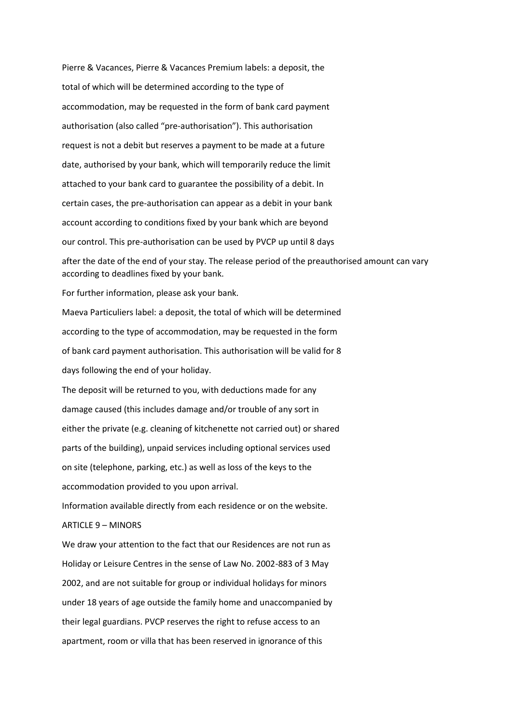Pierre & Vacances, Pierre & Vacances Premium labels: a deposit, the total of which will be determined according to the type of accommodation, may be requested in the form of bank card payment authorisation (also called "pre-authorisation"). This authorisation request is not a debit but reserves a payment to be made at a future date, authorised by your bank, which will temporarily reduce the limit attached to your bank card to guarantee the possibility of a debit. In certain cases, the pre-authorisation can appear as a debit in your bank account according to conditions fixed by your bank which are beyond our control. This pre-authorisation can be used by PVCP up until 8 days after the date of the end of your stay. The release period of the preauthorised amount can vary according to deadlines fixed by your bank.

For further information, please ask your bank.

Maeva Particuliers label: a deposit, the total of which will be determined according to the type of accommodation, may be requested in the form of bank card payment authorisation. This authorisation will be valid for 8 days following the end of your holiday.

The deposit will be returned to you, with deductions made for any damage caused (this includes damage and/or trouble of any sort in either the private (e.g. cleaning of kitchenette not carried out) or shared parts of the building), unpaid services including optional services used on site (telephone, parking, etc.) as well as loss of the keys to the accommodation provided to you upon arrival.

Information available directly from each residence or on the website.

# $ARTICIF 9 - MINORS$

We draw your attention to the fact that our Residences are not run as Holiday or Leisure Centres in the sense of Law No. 2002-883 of 3 May 2002, and are not suitable for group or individual holidays for minors under 18 years of age outside the family home and unaccompanied by their legal guardians. PVCP reserves the right to refuse access to an apartment, room or villa that has been reserved in ignorance of this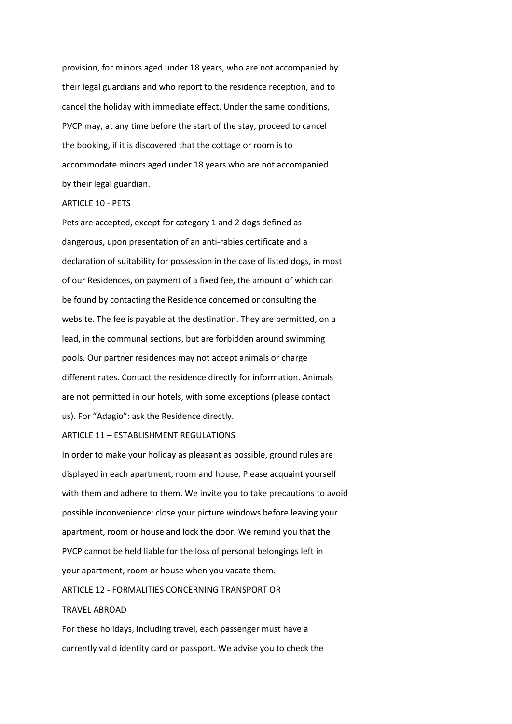provision, for minors aged under 18 years, who are not accompanied by their legal guardians and who report to the residence reception, and to cancel the holiday with immediate effect. Under the same conditions, PVCP may, at any time before the start of the stay, proceed to cancel the booking, if it is discovered that the cottage or room is to accommodate minors aged under 18 years who are not accompanied by their legal guardian.

#### ARTICLE 10 - PETS

Pets are accepted, except for category 1 and 2 dogs defined as dangerous, upon presentation of an anti-rabies certificate and a declaration of suitability for possession in the case of listed dogs, in most of our Residences, on payment of a fixed fee, the amount of which can be found by contacting the Residence concerned or consulting the website. The fee is payable at the destination. They are permitted, on a lead, in the communal sections, but are forbidden around swimming pools. Our partner residences may not accept animals or charge different rates. Contact the residence directly for information. Animals are not permitted in our hotels, with some exceptions (please contact us). For "Adagio": ask the Residence directly.

### ARTICLE 11 – ESTABLISHMENT REGULATIONS

In order to make your holiday as pleasant as possible, ground rules are displayed in each apartment, room and house. Please acquaint yourself with them and adhere to them. We invite you to take precautions to avoid possible inconvenience: close your picture windows before leaving your apartment, room or house and lock the door. We remind you that the PVCP cannot be held liable for the loss of personal belongings left in your apartment, room or house when you vacate them.

# ARTICLE 12 - FORMALITIES CONCERNING TRANSPORT OR

#### TRAVEL ABROAD

For these holidays, including travel, each passenger must have a currently valid identity card or passport. We advise you to check the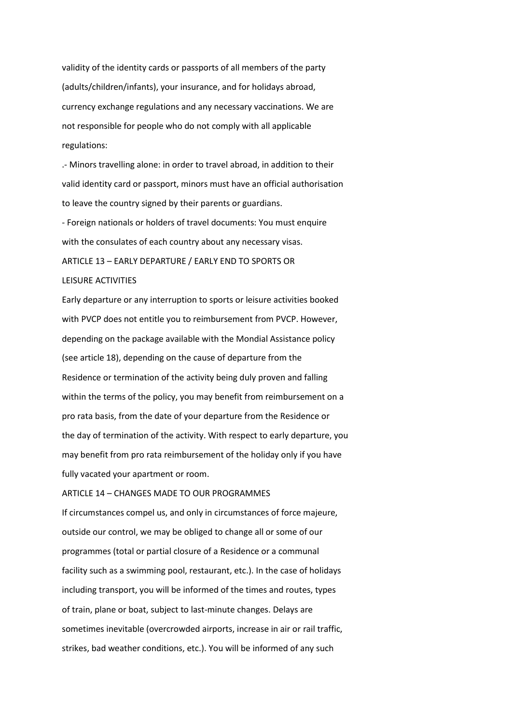validity of the identity cards or passports of all members of the party (adults/children/infants), your insurance, and for holidays abroad, currency exchange regulations and any necessary vaccinations. We are not responsible for people who do not comply with all applicable regulations:

.- Minors travelling alone: in order to travel abroad, in addition to their valid identity card or passport, minors must have an official authorisation to leave the country signed by their parents or guardians.

- Foreign nationals or holders of travel documents: You must enquire with the consulates of each country about any necessary visas. ARTICLE 13 – EARLY DEPARTURE / EARLY END TO SPORTS OR LEISURE ACTIVITIES

Early departure or any interruption to sports or leisure activities booked with PVCP does not entitle you to reimbursement from PVCP. However, depending on the package available with the Mondial Assistance policy (see article 18), depending on the cause of departure from the Residence or termination of the activity being duly proven and falling within the terms of the policy, you may benefit from reimbursement on a pro rata basis, from the date of your departure from the Residence or the day of termination of the activity. With respect to early departure, you may benefit from pro rata reimbursement of the holiday only if you have fully vacated your apartment or room.

# ARTICLE 14 – CHANGES MADE TO OUR PROGRAMMES

If circumstances compel us, and only in circumstances of force majeure, outside our control, we may be obliged to change all or some of our programmes (total or partial closure of a Residence or a communal facility such as a swimming pool, restaurant, etc.). In the case of holidays including transport, you will be informed of the times and routes, types of train, plane or boat, subject to last-minute changes. Delays are sometimes inevitable (overcrowded airports, increase in air or rail traffic, strikes, bad weather conditions, etc.). You will be informed of any such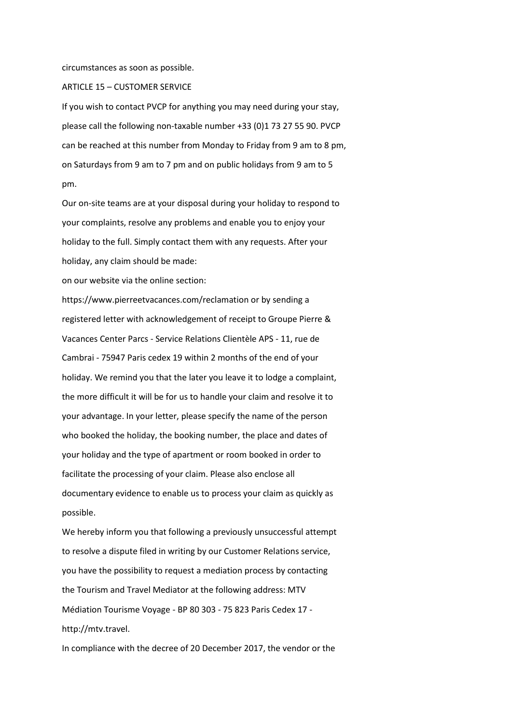circumstances as soon as possible.

ARTICLE 15 – CUSTOMER SERVICE

If you wish to contact PVCP for anything you may need during your stay, please call the following non-taxable number +33 (0)1 73 27 55 90. PVCP can be reached at this number from Monday to Friday from 9 am to 8 pm, on Saturdays from 9 am to 7 pm and on public holidays from 9 am to 5 pm.

Our on-site teams are at your disposal during your holiday to respond to your complaints, resolve any problems and enable you to enjoy your holiday to the full. Simply contact them with any requests. After your holiday, any claim should be made:

on our website via the online section:

https://www.pierreetvacances.com/reclamation or by sending a registered letter with acknowledgement of receipt to Groupe Pierre & Vacances Center Parcs - Service Relations Clientèle APS - 11, rue de Cambrai - 75947 Paris cedex 19 within 2 months of the end of your holiday. We remind you that the later you leave it to lodge a complaint, the more difficult it will be for us to handle your claim and resolve it to your advantage. In your letter, please specify the name of the person who booked the holiday, the booking number, the place and dates of your holiday and the type of apartment or room booked in order to facilitate the processing of your claim. Please also enclose all documentary evidence to enable us to process your claim as quickly as possible.

We hereby inform you that following a previously unsuccessful attempt to resolve a dispute filed in writing by our Customer Relations service, you have the possibility to request a mediation process by contacting the Tourism and Travel Mediator at the following address: MTV Médiation Tourisme Voyage - BP 80 303 - 75 823 Paris Cedex 17 http://mtv.travel.

In compliance with the decree of 20 December 2017, the vendor or the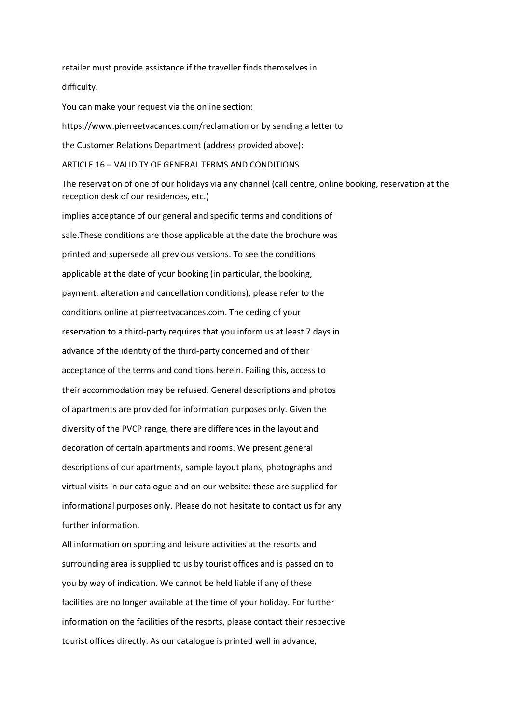retailer must provide assistance if the traveller finds themselves in difficulty.

You can make your request via the online section:

https://www.pierreetvacances.com/reclamation or by sending a letter to the Customer Relations Department (address provided above):

ARTICLE 16 – VALIDITY OF GENERAL TERMS AND CONDITIONS

The reservation of one of our holidays via any channel (call centre, online booking, reservation at the reception desk of our residences, etc.)

implies acceptance of our general and specific terms and conditions of sale.These conditions are those applicable at the date the brochure was printed and supersede all previous versions. To see the conditions applicable at the date of your booking (in particular, the booking, payment, alteration and cancellation conditions), please refer to the conditions online at pierreetvacances.com. The ceding of your reservation to a third-party requires that you inform us at least 7 days in advance of the identity of the third-party concerned and of their acceptance of the terms and conditions herein. Failing this, access to their accommodation may be refused. General descriptions and photos of apartments are provided for information purposes only. Given the diversity of the PVCP range, there are differences in the layout and decoration of certain apartments and rooms. We present general descriptions of our apartments, sample layout plans, photographs and virtual visits in our catalogue and on our website: these are supplied for informational purposes only. Please do not hesitate to contact us for any further information.

All information on sporting and leisure activities at the resorts and surrounding area is supplied to us by tourist offices and is passed on to you by way of indication. We cannot be held liable if any of these facilities are no longer available at the time of your holiday. For further information on the facilities of the resorts, please contact their respective tourist offices directly. As our catalogue is printed well in advance,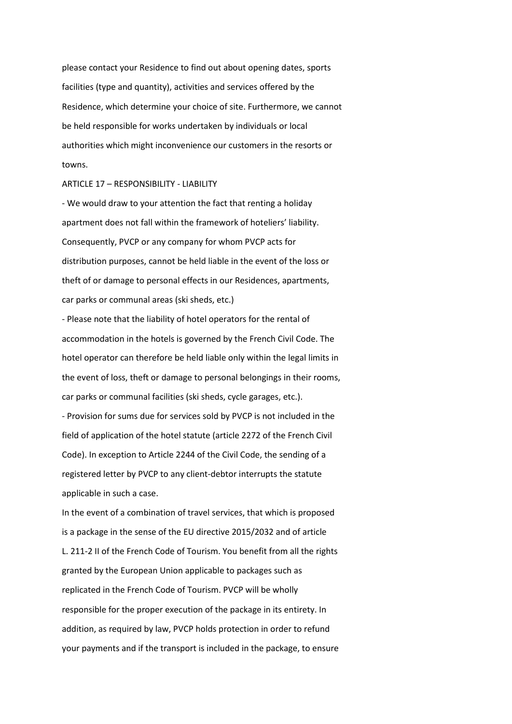please contact your Residence to find out about opening dates, sports facilities (type and quantity), activities and services offered by the Residence, which determine your choice of site. Furthermore, we cannot be held responsible for works undertaken by individuals or local authorities which might inconvenience our customers in the resorts or towns.

### ARTICLE 17 – RESPONSIBILITY - LIABILITY

- We would draw to your attention the fact that renting a holiday apartment does not fall within the framework of hoteliers' liability. Consequently, PVCP or any company for whom PVCP acts for distribution purposes, cannot be held liable in the event of the loss or theft of or damage to personal effects in our Residences, apartments, car parks or communal areas (ski sheds, etc.)

- Please note that the liability of hotel operators for the rental of accommodation in the hotels is governed by the French Civil Code. The hotel operator can therefore be held liable only within the legal limits in the event of loss, theft or damage to personal belongings in their rooms, car parks or communal facilities (ski sheds, cycle garages, etc.).

- Provision for sums due for services sold by PVCP is not included in the field of application of the hotel statute (article 2272 of the French Civil Code). In exception to Article 2244 of the Civil Code, the sending of a registered letter by PVCP to any client-debtor interrupts the statute applicable in such a case.

In the event of a combination of travel services, that which is proposed is a package in the sense of the EU directive 2015/2032 and of article L. 211-2 II of the French Code of Tourism. You benefit from all the rights granted by the European Union applicable to packages such as replicated in the French Code of Tourism. PVCP will be wholly responsible for the proper execution of the package in its entirety. In addition, as required by law, PVCP holds protection in order to refund your payments and if the transport is included in the package, to ensure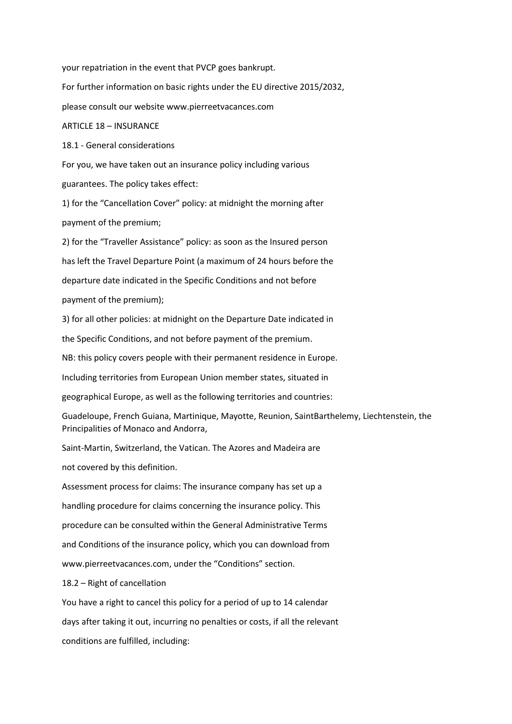your repatriation in the event that PVCP goes bankrupt.

For further information on basic rights under the EU directive 2015/2032,

please consult our website www.pierreetvacances.com

#### ARTICLE 18 – INSURANCE

18.1 - General considerations

For you, we have taken out an insurance policy including various guarantees. The policy takes effect:

1) for the "Cancellation Cover" policy: at midnight the morning after payment of the premium;

2) for the "Traveller Assistance" policy: as soon as the Insured person has left the Travel Departure Point (a maximum of 24 hours before the departure date indicated in the Specific Conditions and not before payment of the premium);

3) for all other policies: at midnight on the Departure Date indicated in the Specific Conditions, and not before payment of the premium.

NB: this policy covers people with their permanent residence in Europe.

Including territories from European Union member states, situated in

geographical Europe, as well as the following territories and countries:

Guadeloupe, French Guiana, Martinique, Mayotte, Reunion, SaintBarthelemy, Liechtenstein, the Principalities of Monaco and Andorra,

Saint-Martin, Switzerland, the Vatican. The Azores and Madeira are

not covered by this definition.

Assessment process for claims: The insurance company has set up a handling procedure for claims concerning the insurance policy. This procedure can be consulted within the General Administrative Terms and Conditions of the insurance policy, which you can download from www.pierreetvacances.com, under the "Conditions" section.

18.2 – Right of cancellation

You have a right to cancel this policy for a period of up to 14 calendar days after taking it out, incurring no penalties or costs, if all the relevant conditions are fulfilled, including: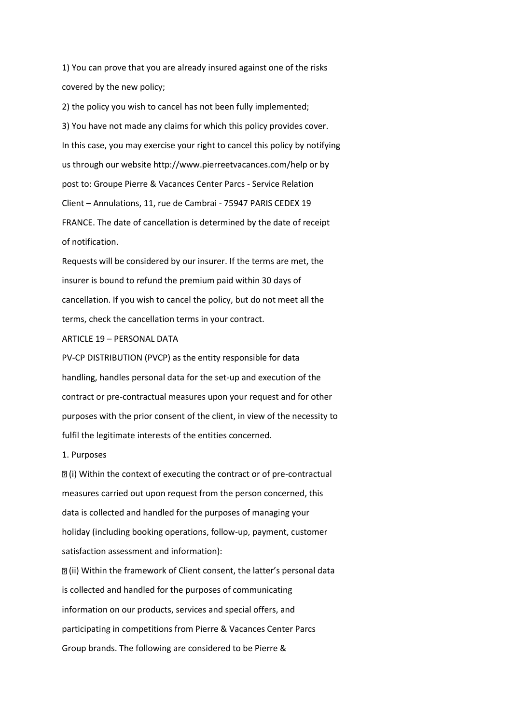1) You can prove that you are already insured against one of the risks covered by the new policy;

2) the policy you wish to cancel has not been fully implemented; 3) You have not made any claims for which this policy provides cover. In this case, you may exercise your right to cancel this policy by notifying us through our website http://www.pierreetvacances.com/help or by post to: Groupe Pierre & Vacances Center Parcs - Service Relation Client – Annulations, 11, rue de Cambrai - 75947 PARIS CEDEX 19 FRANCE. The date of cancellation is determined by the date of receipt of notification.

Requests will be considered by our insurer. If the terms are met, the insurer is bound to refund the premium paid within 30 days of cancellation. If you wish to cancel the policy, but do not meet all the terms, check the cancellation terms in your contract.

ARTICLE 19 – PERSONAL DATA

PV-CP DISTRIBUTION (PVCP) as the entity responsible for data handling, handles personal data for the set-up and execution of the contract or pre-contractual measures upon your request and for other purposes with the prior consent of the client, in view of the necessity to fulfil the legitimate interests of the entities concerned.

#### 1. Purposes

 $\mathbb{Z}$  (i) Within the context of executing the contract or of pre-contractual measures carried out upon request from the person concerned, this data is collected and handled for the purposes of managing your holiday (including booking operations, follow-up, payment, customer satisfaction assessment and information):

(ii) Within the framework of Client consent, the latter's personal data is collected and handled for the purposes of communicating information on our products, services and special offers, and participating in competitions from Pierre & Vacances Center Parcs Group brands. The following are considered to be Pierre &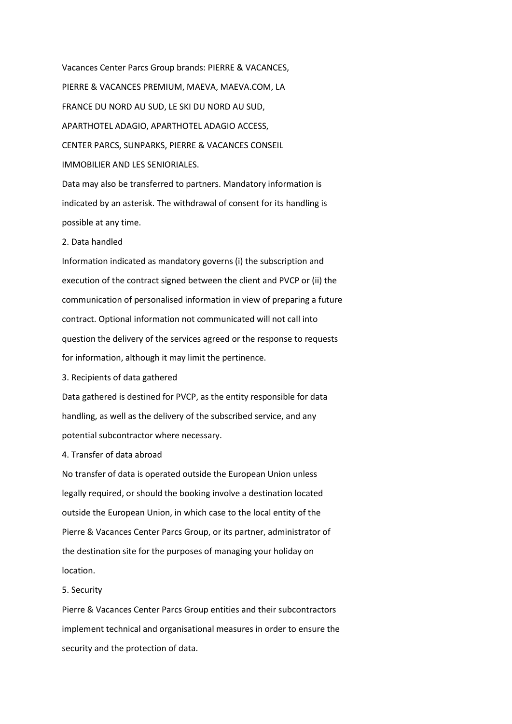Vacances Center Parcs Group brands: PIERRE & VACANCES, PIERRE & VACANCES PREMIUM, MAEVA, MAEVA.COM, LA FRANCE DU NORD AU SUD, LE SKI DU NORD AU SUD, APARTHOTEL ADAGIO, APARTHOTEL ADAGIO ACCESS, CENTER PARCS, SUNPARKS, PIERRE & VACANCES CONSEIL IMMOBILIER AND LES SENIORIALES. Data may also be transferred to partners. Mandatory information is indicated by an asterisk. The withdrawal of consent for its handling is

possible at any time.

# 2. Data handled

Information indicated as mandatory governs (i) the subscription and execution of the contract signed between the client and PVCP or (ii) the communication of personalised information in view of preparing a future contract. Optional information not communicated will not call into question the delivery of the services agreed or the response to requests for information, although it may limit the pertinence.

3. Recipients of data gathered

Data gathered is destined for PVCP, as the entity responsible for data handling, as well as the delivery of the subscribed service, and any potential subcontractor where necessary.

4. Transfer of data abroad

No transfer of data is operated outside the European Union unless legally required, or should the booking involve a destination located outside the European Union, in which case to the local entity of the Pierre & Vacances Center Parcs Group, or its partner, administrator of the destination site for the purposes of managing your holiday on location.

#### 5. Security

Pierre & Vacances Center Parcs Group entities and their subcontractors implement technical and organisational measures in order to ensure the security and the protection of data.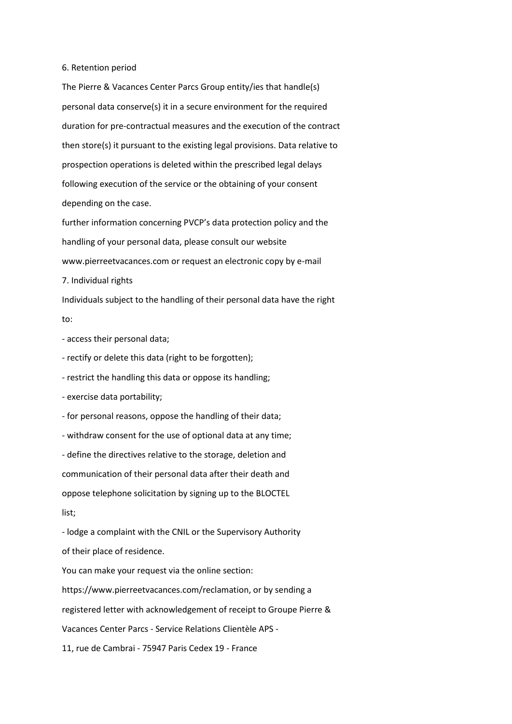#### 6. Retention period

The Pierre & Vacances Center Parcs Group entity/ies that handle(s) personal data conserve(s) it in a secure environment for the required duration for pre-contractual measures and the execution of the contract then store(s) it pursuant to the existing legal provisions. Data relative to prospection operations is deleted within the prescribed legal delays following execution of the service or the obtaining of your consent depending on the case.

further information concerning PVCP's data protection policy and the handling of your personal data, please consult our website www.pierreetvacances.com or request an electronic copy by e-mail

7. Individual rights

Individuals subject to the handling of their personal data have the right to:

- access their personal data;

- rectify or delete this data (right to be forgotten);

- restrict the handling this data or oppose its handling;

- exercise data portability;

- for personal reasons, oppose the handling of their data;

- withdraw consent for the use of optional data at any time;

- define the directives relative to the storage, deletion and

communication of their personal data after their death and

oppose telephone solicitation by signing up to the BLOCTEL

list;

- lodge a complaint with the CNIL or the Supervisory Authority of their place of residence.

You can make your request via the online section:

https://www.pierreetvacances.com/reclamation, or by sending a registered letter with acknowledgement of receipt to Groupe Pierre & Vacances Center Parcs - Service Relations Clientèle APS - 11, rue de Cambrai - 75947 Paris Cedex 19 - France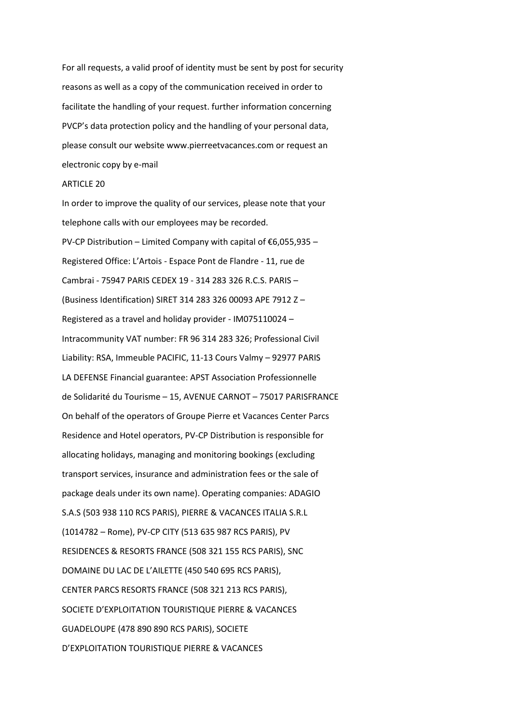For all requests, a valid proof of identity must be sent by post for security reasons as well as a copy of the communication received in order to facilitate the handling of your request. further information concerning PVCP's data protection policy and the handling of your personal data, please consult our website www.pierreetvacances.com or request an electronic copy by e-mail

### ARTICLE 20

In order to improve the quality of our services, please note that your telephone calls with our employees may be recorded.

PV-CP Distribution – Limited Company with capital of €6,055,935 – Registered Office: L'Artois - Espace Pont de Flandre - 11, rue de Cambrai - 75947 PARIS CEDEX 19 - 314 283 326 R.C.S. PARIS – (Business Identification) SIRET 314 283 326 00093 APE 7912 Z – Registered as a travel and holiday provider - IM075110024 – Intracommunity VAT number: FR 96 314 283 326; Professional Civil Liability: RSA, Immeuble PACIFIC, 11-13 Cours Valmy – 92977 PARIS LA DEFENSE Financial guarantee: APST Association Professionnelle de Solidarité du Tourisme – 15, AVENUE CARNOT – 75017 PARISFRANCE On behalf of the operators of Groupe Pierre et Vacances Center Parcs Residence and Hotel operators, PV-CP Distribution is responsible for allocating holidays, managing and monitoring bookings (excluding transport services, insurance and administration fees or the sale of package deals under its own name). Operating companies: ADAGIO S.A.S (503 938 110 RCS PARIS), PIERRE & VACANCES ITALIA S.R.L (1014782 – Rome), PV-CP CITY (513 635 987 RCS PARIS), PV RESIDENCES & RESORTS FRANCE (508 321 155 RCS PARIS), SNC DOMAINE DU LAC DE L'AILETTE (450 540 695 RCS PARIS), CENTER PARCS RESORTS FRANCE (508 321 213 RCS PARIS), SOCIETE D'EXPLOITATION TOURISTIQUE PIERRE & VACANCES GUADELOUPE (478 890 890 RCS PARIS), SOCIETE D'EXPLOITATION TOURISTIQUE PIERRE & VACANCES